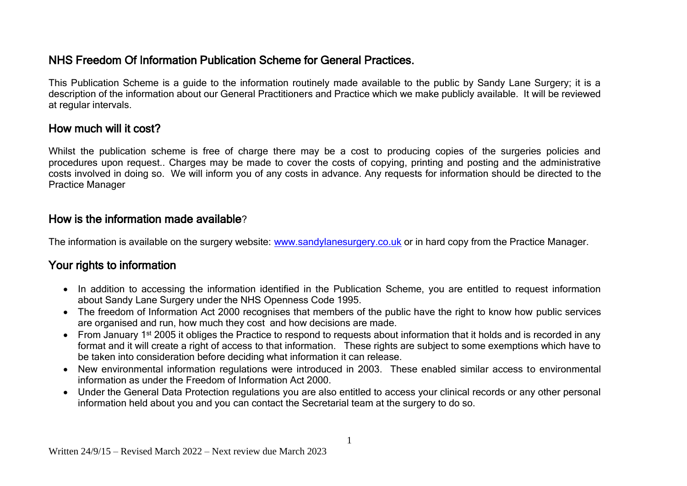# NHS Freedom Of Information Publication Scheme for General Practices.

This Publication Scheme is a guide to the information routinely made available to the public by Sandy Lane Surgery; it is a description of the information about our General Practitioners and Practice which we make publicly available. It will be reviewed at regular intervals.

## How much will it cost?

Whilst the publication scheme is free of charge there may be a cost to producing copies of the surgeries policies and procedures upon request.. Charges may be made to cover the costs of copying, printing and posting and the administrative costs involved in doing so. We will inform you of any costs in advance. Any requests for information should be directed to the Practice Manager

## How is the information made available?

The information is available on the surgery website: [www.sandylanesurgery.co.uk](http://www.sandylanesurgery.co.uk/) or in hard copy from the Practice Manager.

# Your rights to information

- In addition to accessing the information identified in the Publication Scheme, you are entitled to request information about Sandy Lane Surgery under the NHS Openness Code 1995.
- The freedom of Information Act 2000 recognises that members of the public have the right to know how public services are organised and run, how much they cost and how decisions are made.
- From January 1<sup>st</sup> 2005 it obliges the Practice to respond to requests about information that it holds and is recorded in any format and it will create a right of access to that information. These rights are subject to some exemptions which have to be taken into consideration before deciding what information it can release.
- New environmental information regulations were introduced in 2003. These enabled similar access to environmental information as under the Freedom of Information Act 2000.
- Under the General Data Protection regulations you are also entitled to access your clinical records or any other personal information held about you and you can contact the Secretarial team at the surgery to do so.

1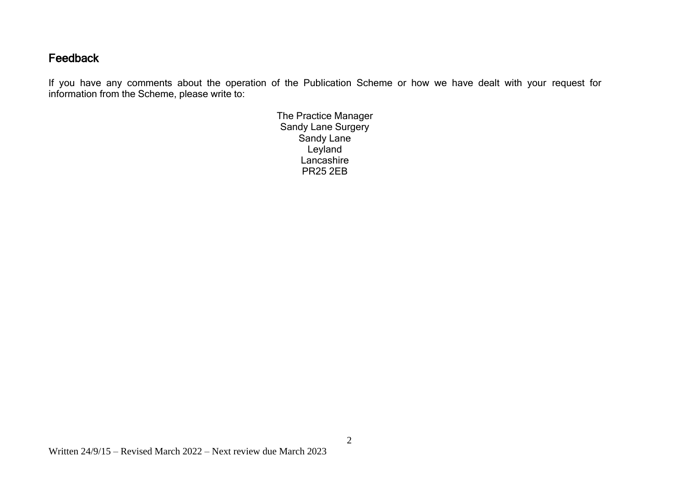## **Feedback**

If you have any comments about the operation of the Publication Scheme or how we have dealt with your request for information from the Scheme, please write to:

> The Practice Manager Sandy Lane Surgery Sandy Lane Leyland Lancashire PR25 2EB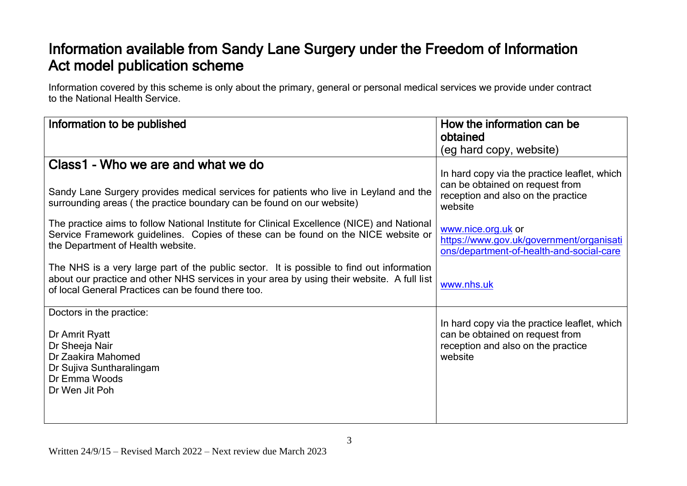# Information available from Sandy Lane Surgery under the Freedom of Information Act model publication scheme

Information covered by this scheme is only about the primary, general or personal medical services we provide under contract to the National Health Service.

| How the information can be                                                                                                       |
|----------------------------------------------------------------------------------------------------------------------------------|
| obtained                                                                                                                         |
| (eg hard copy, website)                                                                                                          |
| In hard copy via the practice leaflet, which                                                                                     |
| can be obtained on request from<br>reception and also on the practice<br>website                                                 |
| www.nice.org.uk or<br>https://www.gov.uk/government/organisati<br>ons/department-of-health-and-social-care                       |
| www.nhs.uk                                                                                                                       |
| In hard copy via the practice leaflet, which<br>can be obtained on request from<br>reception and also on the practice<br>website |
|                                                                                                                                  |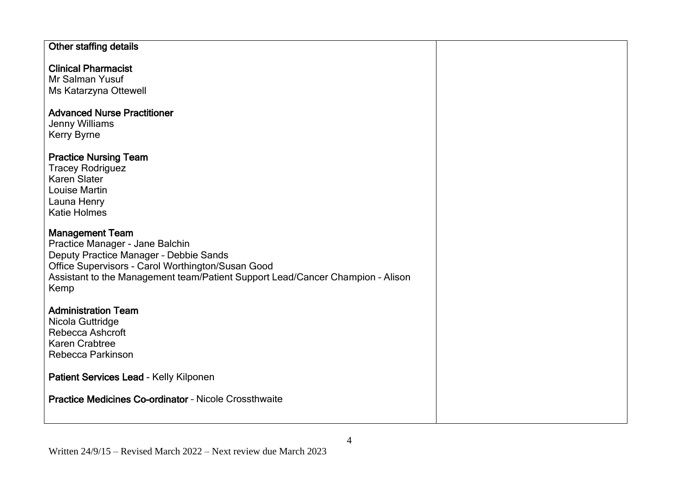### Other staffing details

### Clinical Pharmacist

Mr Salman Yusuf Ms Katarzyna Ottewell

#### Advanced Nurse Practitioner

Jenny Williams Kerry Byrne

#### Practice Nursing Team

Tracey Rodriguez Karen Slater Louise Martin Launa Henry Katie Holmes

## Management Team

Practice Manager - Jane Balchin Deputy Practice Manager – Debbie Sands Office Supervisors - Carol Worthington/Susan Good Assistant to the Management team/Patient Support Lead/Cancer Champion – Alison Kemp

#### Administration Team

Nicola Guttridge Rebecca Ashcroft Karen Crabtree Rebecca Parkinson

## Patient Services Lead - Kelly Kilponen

Practice Medicines Co-ordinator – Nicole Crossthwaite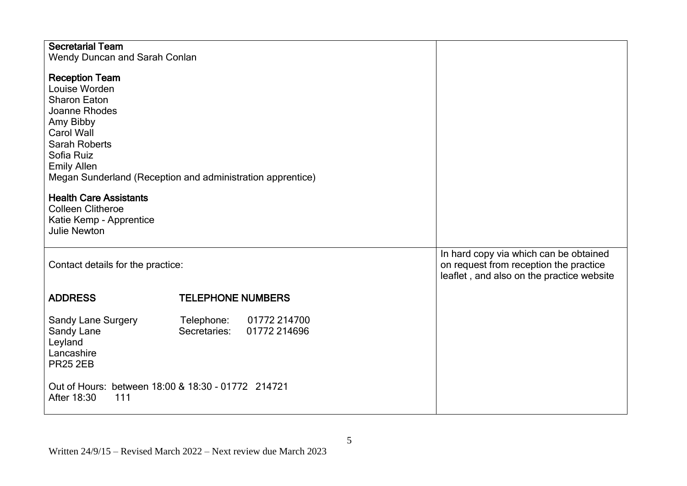| <b>Secretarial Team</b><br>Wendy Duncan and Sarah Conlan                                                                                                                                               |                                                            |                                                                                                                               |
|--------------------------------------------------------------------------------------------------------------------------------------------------------------------------------------------------------|------------------------------------------------------------|-------------------------------------------------------------------------------------------------------------------------------|
| <b>Reception Team</b><br>Louise Worden<br><b>Sharon Eaton</b><br>Joanne Rhodes<br>Amy Bibby<br>Carol Wall<br><b>Sarah Roberts</b><br>Sofia Ruiz<br><b>Emily Allen</b><br><b>Health Care Assistants</b> | Megan Sunderland (Reception and administration apprentice) |                                                                                                                               |
| <b>Colleen Clitheroe</b>                                                                                                                                                                               |                                                            |                                                                                                                               |
| Katie Kemp - Apprentice<br><b>Julie Newton</b>                                                                                                                                                         |                                                            |                                                                                                                               |
| Contact details for the practice:                                                                                                                                                                      |                                                            | In hard copy via which can be obtained<br>on request from reception the practice<br>leaflet, and also on the practice website |
| <b>ADDRESS</b>                                                                                                                                                                                         | <b>TELEPHONE NUMBERS</b>                                   |                                                                                                                               |
| <b>Sandy Lane Surgery</b><br>Sandy Lane<br>Leyland<br>Lancashire<br><b>PR25 2EB</b>                                                                                                                    | 01772 214700<br>Telephone:<br>01772 214696<br>Secretaries: |                                                                                                                               |
| Out of Hours: between 18:00 & 18:30 - 01772 214721<br>After 18:30<br>111                                                                                                                               |                                                            |                                                                                                                               |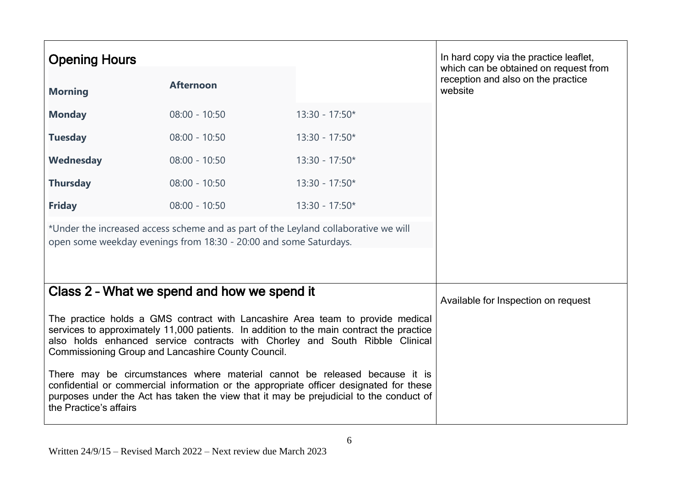| <b>Opening Hours</b>   |                                                                                                                                                          |                                                                                                                                                                                                                                                                | In hard copy via the practice leaflet,<br>which can be obtained on request from |
|------------------------|----------------------------------------------------------------------------------------------------------------------------------------------------------|----------------------------------------------------------------------------------------------------------------------------------------------------------------------------------------------------------------------------------------------------------------|---------------------------------------------------------------------------------|
| <b>Morning</b>         | <b>Afternoon</b>                                                                                                                                         |                                                                                                                                                                                                                                                                | reception and also on the practice<br>website                                   |
| <b>Monday</b>          | $08:00 - 10:50$                                                                                                                                          | $13:30 - 17:50*$                                                                                                                                                                                                                                               |                                                                                 |
| <b>Tuesday</b>         | $08:00 - 10:50$                                                                                                                                          | $13:30 - 17:50*$                                                                                                                                                                                                                                               |                                                                                 |
| Wednesday              | $08:00 - 10:50$                                                                                                                                          | $13:30 - 17:50*$                                                                                                                                                                                                                                               |                                                                                 |
| <b>Thursday</b>        | $08:00 - 10:50$                                                                                                                                          | $13:30 - 17:50*$                                                                                                                                                                                                                                               |                                                                                 |
| <b>Friday</b>          | $08:00 - 10:50$                                                                                                                                          | $13:30 - 17:50*$                                                                                                                                                                                                                                               |                                                                                 |
|                        | *Under the increased access scheme and as part of the Leyland collaborative we will<br>open some weekday evenings from 18:30 - 20:00 and some Saturdays. |                                                                                                                                                                                                                                                                |                                                                                 |
|                        | Class 2 - What we spend and how we spend it                                                                                                              |                                                                                                                                                                                                                                                                | Available for Inspection on request                                             |
|                        | Commissioning Group and Lancashire County Council.                                                                                                       | The practice holds a GMS contract with Lancashire Area team to provide medical<br>services to approximately 11,000 patients. In addition to the main contract the practice<br>also holds enhanced service contracts with Chorley and South Ribble Clinical     |                                                                                 |
| the Practice's affairs |                                                                                                                                                          | There may be circumstances where material cannot be released because it is<br>confidential or commercial information or the appropriate officer designated for these<br>purposes under the Act has taken the view that it may be prejudicial to the conduct of |                                                                                 |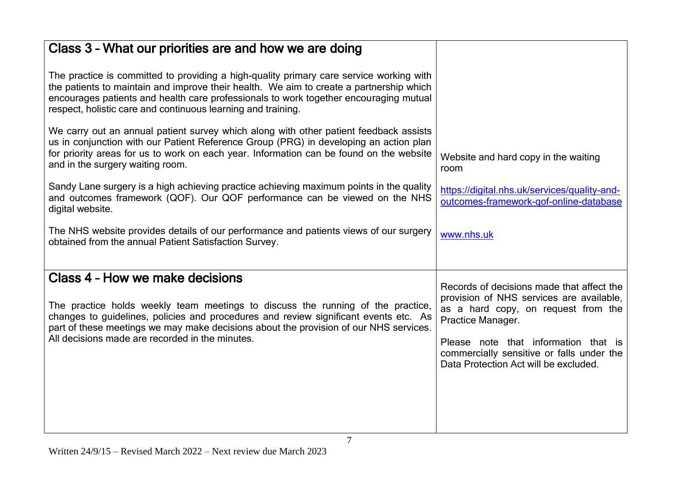| Class 3 - What our priorities are and how we are doing                                                                                                                                                                                                                                                                                      |                                                                                                                                                   |
|---------------------------------------------------------------------------------------------------------------------------------------------------------------------------------------------------------------------------------------------------------------------------------------------------------------------------------------------|---------------------------------------------------------------------------------------------------------------------------------------------------|
| The practice is committed to providing a high-quality primary care service working with<br>the patients to maintain and improve their health. We aim to create a partnership which<br>encourages patients and health care professionals to work together encouraging mutual<br>respect, holistic care and continuous learning and training. |                                                                                                                                                   |
| We carry out an annual patient survey which along with other patient feedback assists<br>us in conjunction with our Patient Reference Group (PRG) in developing an action plan<br>for priority areas for us to work on each year. Information can be found on the website<br>and in the surgery waiting room.                               | Website and hard copy in the waiting<br>room                                                                                                      |
| Sandy Lane surgery is a high achieving practice achieving maximum points in the quality<br>and outcomes framework (QOF). Our QOF performance can be viewed on the NHS<br>digital website.                                                                                                                                                   | https://digital.nhs.uk/services/quality-and-<br>outcomes-framework-gof-online-database                                                            |
| The NHS website provides details of our performance and patients views of our surgery<br>obtained from the annual Patient Satisfaction Survey.                                                                                                                                                                                              | www.nhs.uk                                                                                                                                        |
| Class 4 - How we make decisions<br>The practice holds weekly team meetings to discuss the running of the practice,<br>changes to guidelines, policies and procedures and review significant events etc. As                                                                                                                                  | Records of decisions made that affect the<br>provision of NHS services are available,<br>as a hard copy, on request from the<br>Practice Manager. |
| part of these meetings we may make decisions about the provision of our NHS services.<br>All decisions made are recorded in the minutes.                                                                                                                                                                                                    | Please note that information that is<br>commercially sensitive or falls under the<br>Data Protection Act will be excluded.                        |
|                                                                                                                                                                                                                                                                                                                                             |                                                                                                                                                   |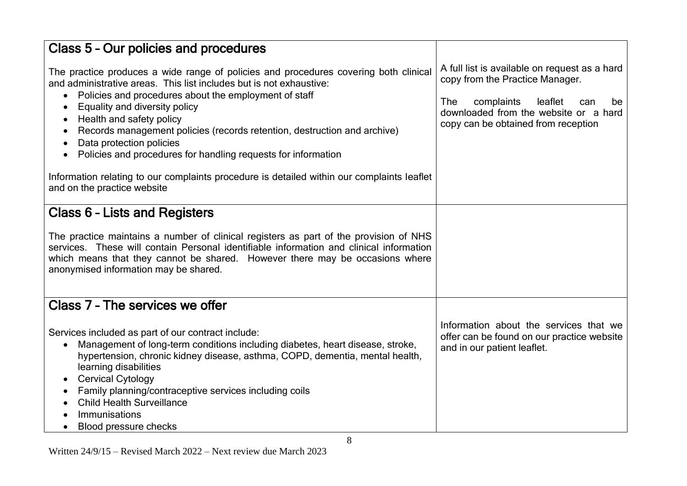| Class 5 - Our policies and procedures                                                                                                                                                                                                                                                                                                                                                                                                                                                                                                                                                                                                            |                                                                                                                                                                                                               |
|--------------------------------------------------------------------------------------------------------------------------------------------------------------------------------------------------------------------------------------------------------------------------------------------------------------------------------------------------------------------------------------------------------------------------------------------------------------------------------------------------------------------------------------------------------------------------------------------------------------------------------------------------|---------------------------------------------------------------------------------------------------------------------------------------------------------------------------------------------------------------|
| The practice produces a wide range of policies and procedures covering both clinical<br>and administrative areas. This list includes but is not exhaustive:<br>Policies and procedures about the employment of staff<br>٠<br>Equality and diversity policy<br>$\bullet$<br>Health and safety policy<br>$\bullet$<br>Records management policies (records retention, destruction and archive)<br>$\bullet$<br>Data protection policies<br>$\bullet$<br>Policies and procedures for handling requests for information<br>Information relating to our complaints procedure is detailed within our complaints leaflet<br>and on the practice website | A full list is available on request as a hard<br>copy from the Practice Manager.<br>The<br>complaints<br>leaflet<br>can<br>be<br>downloaded from the website or a hard<br>copy can be obtained from reception |
| <b>Class 6 - Lists and Registers</b>                                                                                                                                                                                                                                                                                                                                                                                                                                                                                                                                                                                                             |                                                                                                                                                                                                               |
| The practice maintains a number of clinical registers as part of the provision of NHS<br>services. These will contain Personal identifiable information and clinical information<br>which means that they cannot be shared. However there may be occasions where<br>anonymised information may be shared.                                                                                                                                                                                                                                                                                                                                        |                                                                                                                                                                                                               |
| Class 7 - The services we offer                                                                                                                                                                                                                                                                                                                                                                                                                                                                                                                                                                                                                  |                                                                                                                                                                                                               |
| Services included as part of our contract include:<br>Management of long-term conditions including diabetes, heart disease, stroke,<br>$\bullet$<br>hypertension, chronic kidney disease, asthma, COPD, dementia, mental health,<br>learning disabilities<br><b>Cervical Cytology</b><br>$\bullet$<br>Family planning/contraceptive services including coils<br>$\bullet$<br><b>Child Health Surveillance</b><br>Immunisations<br>Blood pressure checks<br>$\bullet$                                                                                                                                                                             | Information about the services that we<br>offer can be found on our practice website<br>and in our patient leaflet.                                                                                           |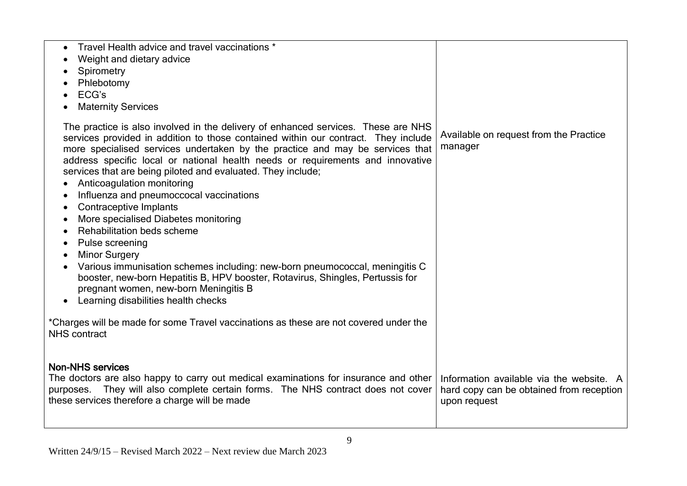| Travel Health advice and travel vaccinations *<br>Weight and dietary advice<br>Spirometry<br>Phlebotomy<br>ECG's<br><b>Maternity Services</b>                                                                                                                                                                                                                                                                                                                                                                                                                                                                                                                                                                                                                                                                                                                                                |                                                                                                      |
|----------------------------------------------------------------------------------------------------------------------------------------------------------------------------------------------------------------------------------------------------------------------------------------------------------------------------------------------------------------------------------------------------------------------------------------------------------------------------------------------------------------------------------------------------------------------------------------------------------------------------------------------------------------------------------------------------------------------------------------------------------------------------------------------------------------------------------------------------------------------------------------------|------------------------------------------------------------------------------------------------------|
| The practice is also involved in the delivery of enhanced services. These are NHS<br>services provided in addition to those contained within our contract. They include<br>more specialised services undertaken by the practice and may be services that<br>address specific local or national health needs or requirements and innovative<br>services that are being piloted and evaluated. They include;<br>Anticoagulation monitoring<br>Influenza and pneumoccocal vaccinations<br>Contraceptive Implants<br>$\bullet$<br>More specialised Diabetes monitoring<br>Rehabilitation beds scheme<br>Pulse screening<br><b>Minor Surgery</b><br>Various immunisation schemes including: new-born pneumococcal, meningitis C<br>booster, new-born Hepatitis B, HPV booster, Rotavirus, Shingles, Pertussis for<br>pregnant women, new-born Meningitis B<br>Learning disabilities health checks | Available on request from the Practice<br>manager                                                    |
| *Charges will be made for some Travel vaccinations as these are not covered under the<br><b>NHS</b> contract                                                                                                                                                                                                                                                                                                                                                                                                                                                                                                                                                                                                                                                                                                                                                                                 |                                                                                                      |
| <b>Non-NHS services</b><br>The doctors are also happy to carry out medical examinations for insurance and other<br>purposes. They will also complete certain forms. The NHS contract does not cover<br>these services therefore a charge will be made                                                                                                                                                                                                                                                                                                                                                                                                                                                                                                                                                                                                                                        | Information available via the website. A<br>hard copy can be obtained from reception<br>upon request |